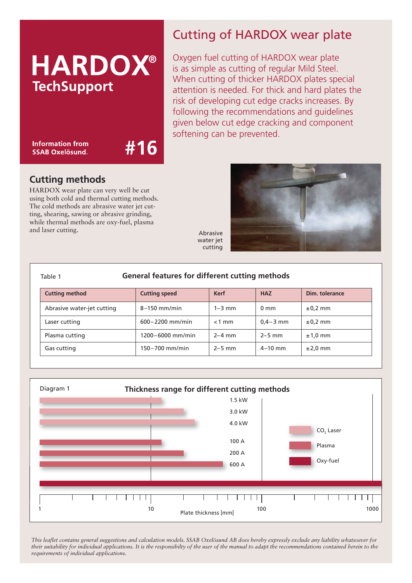# **HARDOX® TechSupport**

**Information from SSAB Oxelösund.** 

#16

# Cutting of HARDOX wear plate

Oxygen fuel cutting of HARDOX wear plate is as simple as cutting of regular Mild Steel. When cutting of thicker HARDOX plates special attention is needed. For thick and hard plates the risk of developing cut edge cracks increases. By following the recommendations and guidelines given below cut edge cracking and component softening can be prevented.

## **Cutting methods**

HARDOX wear plate can very well be cut using both cold and thermal cutting methods. The cold methods are abrasive water jet cutting, shearing, sawing or abrasive grinding, while thermal methods are oxy-fuel, plasma and laser cutting.



Abrasive water jet cutting

| <b>General features for different cutting methods</b><br>Table 1 |                      |             |                |                |  |  |  |  |
|------------------------------------------------------------------|----------------------|-------------|----------------|----------------|--|--|--|--|
| <b>Cutting method</b>                                            | <b>Cutting speed</b> | <b>Kerf</b> | <b>HAZ</b>     | Dim. tolerance |  |  |  |  |
| Abrasive water-jet cutting                                       | $8-150$ mm/min       | $1 - 3$ mm  | $0 \text{ mm}$ | $\pm 0.2$ mm   |  |  |  |  |
| Laser cutting                                                    | $600 - 2200$ mm/min  | $<$ 1 mm    | $0.4 - 3$ mm   | $\pm 0.2$ mm   |  |  |  |  |
| Plasma cutting                                                   | $1200 - 6000$ mm/min | $2-4$ mm    | $2-5$ mm       | $±1,0$ mm      |  |  |  |  |
| Gas cutting                                                      | $150 - 700$ mm/min   | $2-5$ mm    | $4 - 10$ mm    | $\pm 2.0$ mm   |  |  |  |  |



*This leaflet contains general suggestions and calculation models. SSAB Oxelösund AB does hereby expressly exclude any liability whatsoever for their suitability for individual applications. It is the responsibilty of the user of the manual to adapt the recommendations contained herein to the requirements of individual applications.*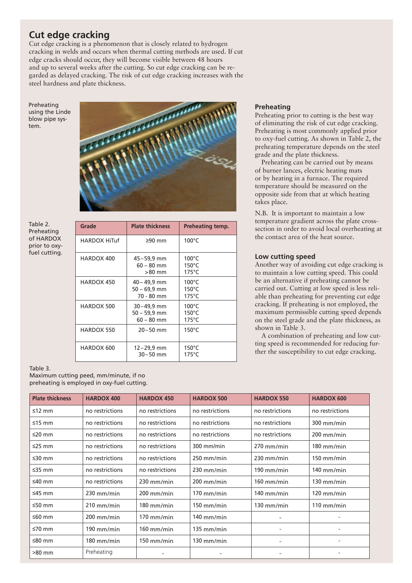### **Cut edge cracking**

Cut edge cracking is a phenomenon that is closely related to hydrogen cracking in welds and occurs when thermal cutting methods are used. If cut edge cracks should occur, they will become visible between 48 hours and up to several weeks after the cutting. So cut edge cracking can be regarded as delayed cracking. The risk of cut edge cracking increases with the steel hardness and plate thickness.

Preheating using the Linde blow pipe system.



Table 2. Preheating of HARDOX prior to oxyfuel cutting.

| Grade               | <b>Plate thickness</b>                       | Preheating temp.                                      |
|---------------------|----------------------------------------------|-------------------------------------------------------|
| <b>HARDOX HiTuf</b> | $≥90$ mm                                     | $100^{\circ}$ C                                       |
| HARDOX 400          | 45-59,9 mm<br>$60 - 80$ mm<br>$>80$ mm       | $100^{\circ}$ C<br>$150^{\circ}$ C<br>$175^{\circ}$ C |
| HARDOX 450          | 40 - 49,9 mm<br>$50 - 69.9$ mm<br>70 - 80 mm | $100^{\circ}$ C<br>$150^{\circ}$ C<br>$175^{\circ}$ C |
| HARDOX 500          | 30–49,9 mm<br>$50 - 59.9$ mm<br>$60 - 80$ mm | $100^{\circ}$ C<br>$150^{\circ}$ C<br>$175^{\circ}$ C |
| HARDOX 550          | $20 - 50$ mm                                 | $150^{\circ}$ C                                       |
| HARDOX 600          | 12-29,9 mm<br>$30 - 50$ mm                   | $150^{\circ}$ C<br>$175^{\circ}$ C                    |

#### **Preheating**

Preheating prior to cutting is the best way of eliminating the risk of cut edge cracking. Preheating is most commonly applied prior to oxy-fuel cutting. As shown in Table 2, the preheating temperature depends on the steel grade and the plate thickness.

Preheating can be carried out by means of burner lances, electric heating mats or by heating in a furnace. The required temperature should be measured on the opposite side from that at which heating takes place.

N.B. It is important to maintain a low temperature gradient across the plate crosssection in order to avoid local overheating at the contact area of the heat source.

#### **Low cutting speed**

Another way of avoiding cut edge cracking is to maintain a low cutting speed. This could be an alternative if preheating cannot be carried out. Cutting at low speed is less reliable than preheating for preventing cut edge cracking. If preheating is not employed, the maximum permissible cutting speed depends on the steel grade and the plate thickness, as shown in Table 3.

A combination of preheating and low cutting speed is recommended for reducing further the susceptibility to cut edge cracking.

#### Table 3.

Maximum cutting peed, mm/minute, if no preheating is employed in oxy-fuel cutting.

| <b>Plate thickness</b> | <b>HARDOX 400</b> | <b>HARDOX 450</b> | <b>HARDOX 500</b> | <b>HARDOX 550</b> | <b>HARDOX 600</b>    |
|------------------------|-------------------|-------------------|-------------------|-------------------|----------------------|
| ≤12 mm                 | no restrictions   | no restrictions   | no restrictions   | no restrictions   | no restrictions      |
| ≤15 mm                 | no restrictions   | no restrictions   | no restrictions   | no restrictions   | $300$ mm/min         |
| ≤20 mm                 | no restrictions   | no restrictions   | no restrictions   | no restrictions   | $200$ mm/min         |
| ≤25 mm                 | no restrictions   | no restrictions   | 300 mm/min        | $270$ mm/min      | $180$ mm/min         |
| ≤30 mm                 | no restrictions   | no restrictions   | $250$ mm/min      | $230$ mm/min      | $150$ mm/min         |
| $≤35$ mm               | no restrictions   | no restrictions   | $230$ mm/min      | 190 mm/min        | $140$ mm/min         |
| $≤40$ mm               | no restrictions   | $230$ mm/min      | $200$ mm/min      | $160$ mm/min      | $130$ mm/min         |
| $≤45$ mm               | $230$ mm/min      | $200$ mm/min      | $170$ mm/min      | $140$ mm/min      | $120 \text{ mm/min}$ |
| ≤50 mm                 | $210$ mm/min      | $180$ mm/min      | $150$ mm/min      | $130$ mm/min      | $110$ mm/min         |
| ≤60 mm                 | $200$ mm/min      | $170$ mm/min      | $140$ mm/min      |                   |                      |
| ≤70 mm                 | $190$ mm/min      | $160$ mm/min      | $135$ mm/min      |                   |                      |
| ≤80 mm                 | $180$ mm/min      | $150$ mm/min      | $130$ mm/min      |                   |                      |
| >80 mm                 | Preheating        |                   |                   |                   |                      |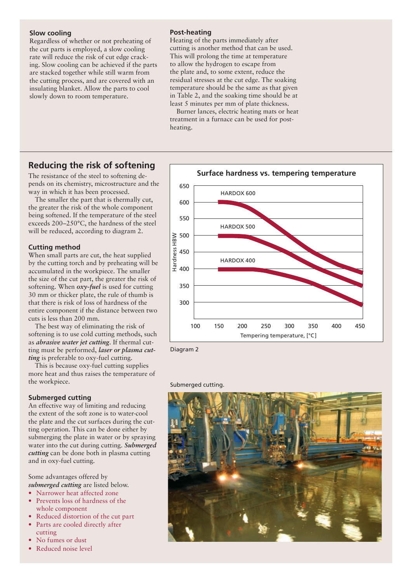#### **Slow cooling**

Regardless of whether or not preheating of the cut parts is employed, a slow cooling rate will reduce the risk of cut edge cracking. Slow cooling can be achieved if the parts are stacked together while still warm from the cutting process, and are covered with an insulating blanket. Allow the parts to cool slowly down to room temperature.

#### **Post-heating**

Heating of the parts immediately after cutting is another method that can be used. This will prolong the time at temperature to allow the hydrogen to escape from the plate and, to some extent, reduce the residual stresses at the cut edge. The soaking temperature should be the same as that given in Table 2, and the soaking time should be at least 5 minutes per mm of plate thickness.

Burner lances, electric heating mats or heat treatment in a furnace can be used for postheating.

#### **Reducing the risk of softening**

The resistance of the steel to softening depends on its chemistry, microstructure and the way in which it has been processed.

The smaller the part that is thermally cut, the greater the risk of the whole component being softened. If the temperature of the steel exceeds 200–250�C, the hardness of the steel will be reduced, according to diagram 2.

#### **Cutting method**

When small parts are cut, the heat supplied by the cutting torch and by preheating will be accumulated in the workpiece. The smaller the size of the cut part, the greater the risk of softening. When *oxy-fuel* is used for cutting 30 mm or thicker plate, the rule of thumb is that there is risk of loss of hardness of the entire component if the distance between two cuts is less than 200 mm.

The best way of eliminating the risk of softening is to use cold cutting methods, such as *abrasive water jet cutting*. If thermal cutting must be performed, *laser or plasma cutting* is preferable to oxy-fuel cutting.

This is because oxy-fuel cutting supplies more heat and thus raises the temperature of the workpiece.

#### **Submerged cutting**

An effective way of limiting and reducing the extent of the soft zone is to water-cool the plate and the cut surfaces during the cutting operation. This can be done either by submerging the plate in water or by spraying water into the cut during cutting. *Submerged cutting* can be done both in plasma cutting and in oxy-fuel cutting.

Some advantages offered by *submerged cutting* are listed below.

- � Narrower heat affected zone
- Prevents loss of hardness of the whole component
- Reduced distortion of the cut part
- Parts are cooled directly after cutting
- No fumes or dust
- Reduced noise level



Diagram 2

Submerged cutting.